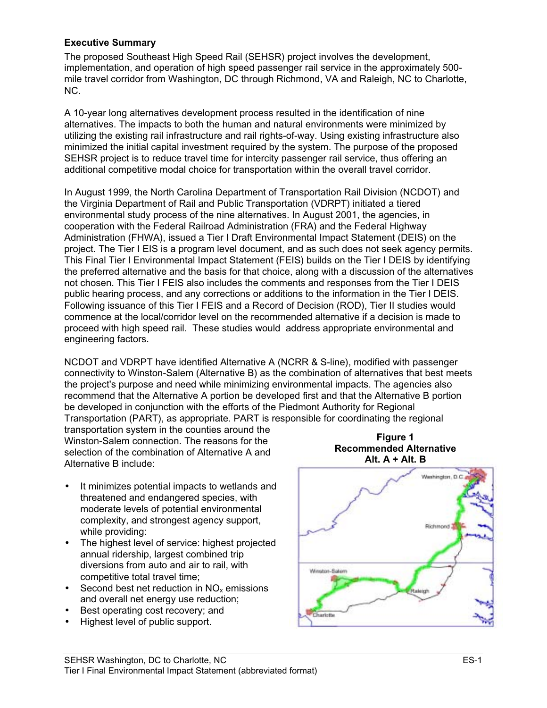#### **Executive Summary**

The proposed Southeast High Speed Rail (SEHSR) project involves the development, implementation, and operation of high speed passenger rail service in the approximately 500 mile travel corridor from Washington, DC through Richmond, VA and Raleigh, NC to Charlotte, NC.

A 10-year long alternatives development process resulted in the identification of nine alternatives. The impacts to both the human and natural environments were minimized by utilizing the existing rail infrastructure and rail rights-of-way. Using existing infrastructure also minimized the initial capital investment required by the system. The purpose of the proposed SEHSR project is to reduce travel time for intercity passenger rail service, thus offering an additional competitive modal choice for transportation within the overall travel corridor.

In August 1999, the North Carolina Department of Transportation Rail Division (NCDOT) and the Virginia Department of Rail and Public Transportation (VDRPT) initiated a tiered environmental study process of the nine alternatives. In August 2001, the agencies, in cooperation with the Federal Railroad Administration (FRA) and the Federal Highway Administration (FHWA), issued a Tier I Draft Environmental Impact Statement (DEIS) on the project. The Tier I EIS is a program level document, and as such does not seek agency permits. This Final Tier I Environmental Impact Statement (FEIS) builds on the Tier I DEIS by identifying the preferred alternative and the basis for that choice, along with a discussion of the alternatives not chosen. This Tier I FEIS also includes the comments and responses from the Tier I DEIS public hearing process, and any corrections or additions to the information in the Tier I DEIS. Following issuance of this Tier I FEIS and a Record of Decision (ROD), Tier II studies would commence at the local/corridor level on the recommended alternative if a decision is made to proceed with high speed rail. These studies would address appropriate environmental and engineering factors.

NCDOT and VDRPT have identified Alternative A (NCRR & S-line), modified with passenger connectivity to Winston-Salem (Alternative B) as the combination of alternatives that best meets the project's purpose and need while minimizing environmental impacts. The agencies also recommend that the Alternative A portion be developed first and that the Alternative B portion be developed in conjunction with the efforts of the Piedmont Authority for Regional Transportation (PART), as appropriate. PART is responsible for coordinating the regional

transportation system in the counties around the Winston-Salem connection. The reasons for the selection of the combination of Alternative A and Alternative B include:

- It minimizes potential impacts to wetlands and threatened and endangered species, with moderate levels of potential environmental complexity, and strongest agency support, while providing:
- The highest level of service: highest projected annual ridership, largest combined trip diversions from auto and air to rail, with competitive total travel time;
- Second best net reduction in  $NO<sub>x</sub>$  emissions and overall net energy use reduction;
- Best operating cost recovery; and
- Highest level of public support.



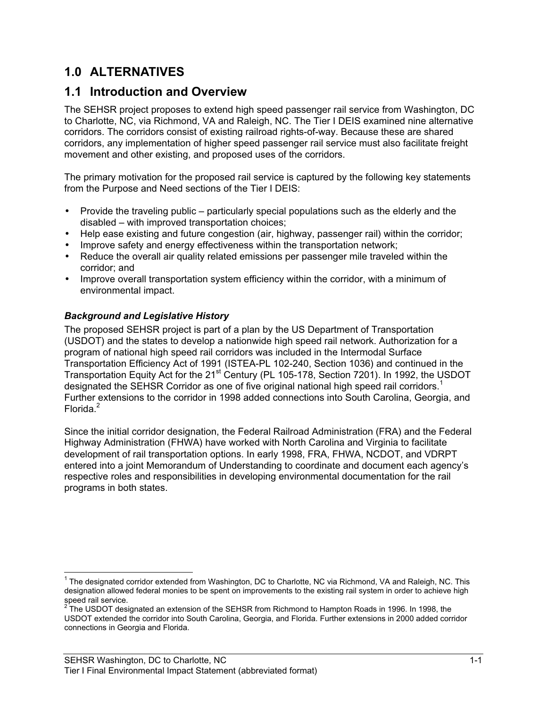## **1.0 ALTERNATIVES**

### **1.1 Introduction and Overview**

The SEHSR project proposes to extend high speed passenger rail service from Washington, DC to Charlotte, NC, via Richmond, VA and Raleigh, NC. The Tier I DEIS examined nine alternative corridors. The corridors consist of existing railroad rights-of-way. Because these are shared corridors, any implementation of higher speed passenger rail service must also facilitate freight movement and other existing, and proposed uses of the corridors.

The primary motivation for the proposed rail service is captured by the following key statements from the Purpose and Need sections of the Tier I DEIS:

- Provide the traveling public particularly special populations such as the elderly and the disabled – with improved transportation choices;
- Help ease existing and future congestion (air, highway, passenger rail) within the corridor;
- Improve safety and energy effectiveness within the transportation network;
- Reduce the overall air quality related emissions per passenger mile traveled within the corridor; and
- Improve overall transportation system efficiency within the corridor, with a minimum of environmental impact.

#### *Background and Legislative History*

The proposed SEHSR project is part of a plan by the US Department of Transportation (USDOT) and the states to develop a nationwide high speed rail network. Authorization for a program of national high speed rail corridors was included in the Intermodal Surface Transportation Efficiency Act of 1991 (ISTEA-PL 102-240, Section 1036) and continued in the Transportation Equity Act for the 21<sup>st</sup> Century (PL 105-178, Section 7201). In 1992, the USDOT designated the SEHSR Corridor as one of five original national high speed rail corridors.<sup>1</sup> Further extensions to the corridor in 1998 added connections into South Carolina, Georgia, and Florida.<sup>2</sup>

Since the initial corridor designation, the Federal Railroad Administration (FRA) and the Federal Highway Administration (FHWA) have worked with North Carolina and Virginia to facilitate development of rail transportation options. In early 1998, FRA, FHWA, NCDOT, and VDRPT entered into a joint Memorandum of Understanding to coordinate and document each agency's respective roles and responsibilities in developing environmental documentation for the rail programs in both states.

 <sup>1</sup> The designated corridor extended from Washington, DC to Charlotte, NC via Richmond, VA and Raleigh, NC. This designation allowed federal monies to be spent on improvements to the existing rail system in order to achieve high

speed rail service.<br><sup>2</sup> The USDOT designated an extension of the SEHSR from Richmond to Hampton Roads in 1996. In 1998, the USDOT extended the corridor into South Carolina, Georgia, and Florida. Further extensions in 2000 added corridor connections in Georgia and Florida.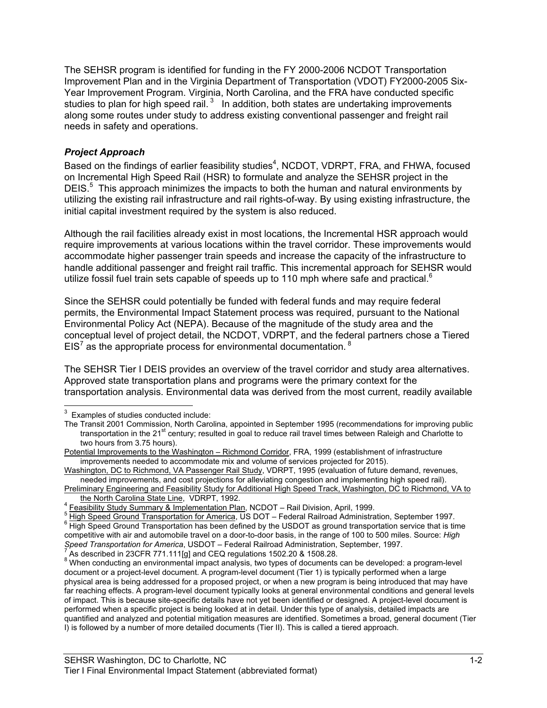The SEHSR program is identified for funding in the FY 2000-2006 NCDOT Transportation Improvement Plan and in the Virginia Department of Transportation (VDOT) FY2000-2005 Six-Year Improvement Program. Virginia, North Carolina, and the FRA have conducted specific studies to plan for high speed rail.<sup>3</sup> In addition, both states are undertaking improvements along some routes under study to address existing conventional passenger and freight rail needs in safety and operations.

#### *Project Approach*

Based on the findings of earlier feasibility studies<sup>4</sup>, NCDOT, VDRPT, FRA, and FHWA, focused on Incremental High Speed Rail (HSR) to formulate and analyze the SEHSR project in the DEIS.<sup>5</sup> This approach minimizes the impacts to both the human and natural environments by utilizing the existing rail infrastructure and rail rights-of-way. By using existing infrastructure, the initial capital investment required by the system is also reduced.

Although the rail facilities already exist in most locations, the Incremental HSR approach would require improvements at various locations within the travel corridor. These improvements would accommodate higher passenger train speeds and increase the capacity of the infrastructure to handle additional passenger and freight rail traffic. This incremental approach for SEHSR would utilize fossil fuel train sets capable of speeds up to 110 mph where safe and practical.<sup>6</sup>

Since the SEHSR could potentially be funded with federal funds and may require federal permits, the Environmental Impact Statement process was required, pursuant to the National Environmental Policy Act (NEPA). Because of the magnitude of the study area and the conceptual level of project detail, the NCDOT, VDRPT, and the federal partners chose a Tiered EIS<sup>7</sup> as the appropriate process for environmental documentation.  $^8$ 

The SEHSR Tier I DEIS provides an overview of the travel corridor and study area alternatives. Approved state transportation plans and programs were the primary context for the transportation analysis. Environmental data was derived from the most current, readily available

 <sup>3</sup> Examples of studies conducted include:

The Transit 2001 Commission, North Carolina, appointed in September 1995 (recommendations for improving public transportation in the 21<sup>st</sup> century; resulted in goal to reduce rail travel times between Raleigh and Charlotte to two hours from 3.75 hours).

Potential Improvements to the Washington – Richmond Corridor, FRA, 1999 (establishment of infrastructure improvements needed to accommodate mix and volume of services projected for 2015).

Washington, DC to Richmond, VA Passenger Rail Study, VDRPT, 1995 (evaluation of future demand, revenues, needed improvements, and cost projections for alleviating congestion and implementing high speed rail).

Preliminary Engineering and Feasibility Study for Additional High Speed Track, Washington, DC to Richmond, VA to the North Carolina State Line, VDRPT, 1992.

the North Carolina State Line, VDRPT, 1992.<br>4 <u>Feasibility Study Summary & Implementation Plan,</u> NCDOT – Rail Division, April, 1999.

<sup>&</sup>lt;sup>5</sup> High Speed Ground Transportation for America, US DOT – Federal Railroad Administration, September 1997.

 $^6$  High Speed Ground Transportation has been defined by the USDOT as ground transportation service that is time competitive with air and automobile travel on a door-to-door basis, in the range of 100 to 500 miles. Source: *High Speed Transportation for America*, USDOT – Federal Railroad Administration, September, 1997. <sup>7</sup> As described in 23CFR 771.111[g] and CEQ regulations 1502.20 & 1508.28.

<sup>&</sup>lt;sup>8</sup> When conducting an environmental impact analysis, two types of documents can be developed: a program-level document or a project-level document. A program-level document (Tier 1) is typically performed when a large physical area is being addressed for a proposed project, or when a new program is being introduced that may have far reaching effects. A program-level document typically looks at general environmental conditions and general levels of impact. This is because site-specific details have not yet been identified or designed. A project-level document is performed when a specific project is being looked at in detail. Under this type of analysis, detailed impacts are quantified and analyzed and potential mitigation measures are identified. Sometimes a broad, general document (Tier I) is followed by a number of more detailed documents (Tier II). This is called a tiered approach.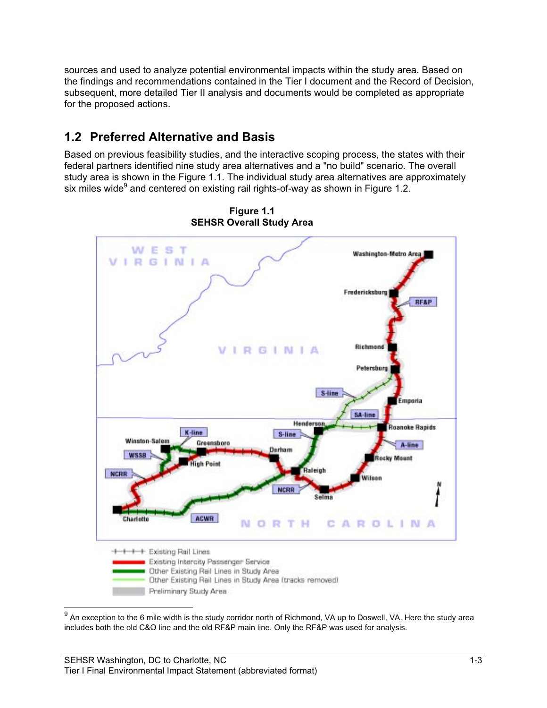sources and used to analyze potential environmental impacts within the study area. Based on the findings and recommendations contained in the Tier I document and the Record of Decision, subsequent, more detailed Tier II analysis and documents would be completed as appropriate for the proposed actions.

# **1.2 Preferred Alternative and Basis**

Based on previous feasibility studies, and the interactive scoping process, the states with their federal partners identified nine study area alternatives and a "no build" scenario. The overall study area is shown in the Figure 1.1. The individual study area alternatives are approximately six miles wide $^9$  and centered on existing rail rights-of-way as shown in Figure 1.2.



**Figure 1.1 SEHSR Overall Study Area**

 <sup>9</sup> An exception to the 6 mile width is the study corridor north of Richmond, VA up to Doswell, VA. Here the study area includes both the old C&O line and the old RF&P main line. Only the RF&P was used for analysis.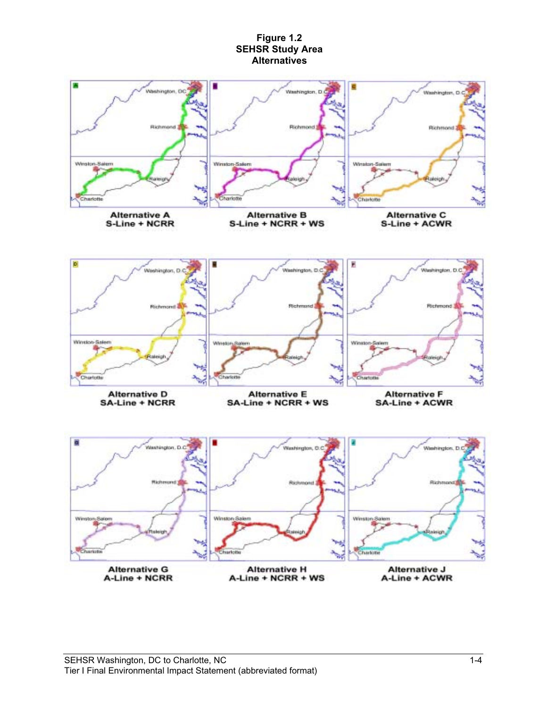#### **Figure 1.2 SEHSR Study Area Alternatives**

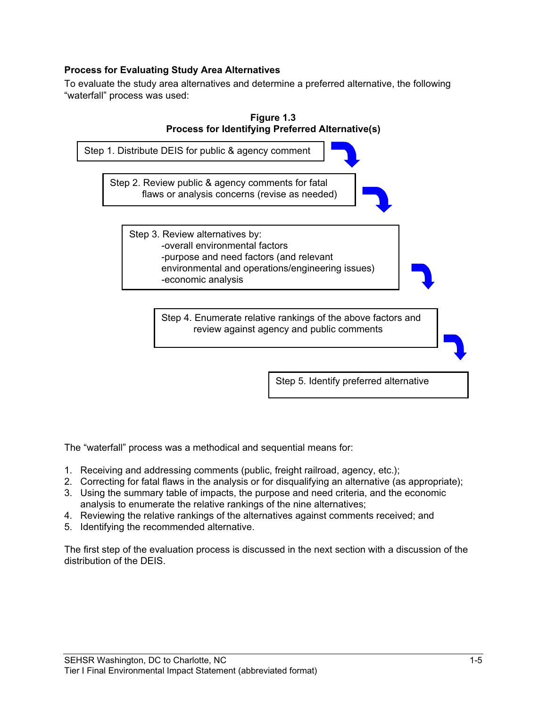#### **Process for Evaluating Study Area Alternatives**

To evaluate the study area alternatives and determine a preferred alternative, the following "waterfall" process was used:



Step 5. Identify preferred alternative

The "waterfall" process was a methodical and sequential means for:

- 1. Receiving and addressing comments (public, freight railroad, agency, etc.);
- 2. Correcting for fatal flaws in the analysis or for disqualifying an alternative (as appropriate);
- 3. Using the summary table of impacts, the purpose and need criteria, and the economic analysis to enumerate the relative rankings of the nine alternatives;
- 4. Reviewing the relative rankings of the alternatives against comments received; and
- 5. Identifying the recommended alternative.

The first step of the evaluation process is discussed in the next section with a discussion of the distribution of the DEIS.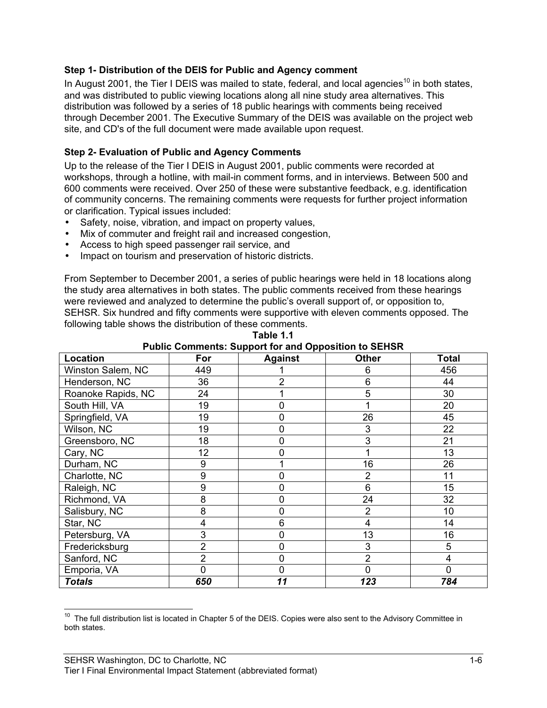#### **Step 1- Distribution of the DEIS for Public and Agency comment**

In August 2001, the Tier I DEIS was mailed to state, federal, and local agencies<sup>10</sup> in both states, and was distributed to public viewing locations along all nine study area alternatives. This distribution was followed by a series of 18 public hearings with comments being received through December 2001. The Executive Summary of the DEIS was available on the project web site, and CD's of the full document were made available upon request.

#### **Step 2- Evaluation of Public and Agency Comments**

Up to the release of the Tier I DEIS in August 2001, public comments were recorded at workshops, through a hotline, with mail-in comment forms, and in interviews. Between 500 and 600 comments were received. Over 250 of these were substantive feedback, e.g. identification of community concerns. The remaining comments were requests for further project information or clarification. Typical issues included:

- Safety, noise, vibration, and impact on property values,
- Mix of commuter and freight rail and increased congestion,
- Access to high speed passenger rail service, and
- Impact on tourism and preservation of historic districts.

From September to December 2001, a series of public hearings were held in 18 locations along the study area alternatives in both states. The public comments received from these hearings were reviewed and analyzed to determine the public's overall support of, or opposition to, SEHSR. Six hundred and fifty comments were supportive with eleven comments opposed. The following table shows the distribution of these comments.

| Location           | For | . .<br><b>Against</b> | <b>Other</b>   | Total          |
|--------------------|-----|-----------------------|----------------|----------------|
| Winston Salem, NC  | 449 |                       | 6              | 456            |
| Henderson, NC      | 36  | 2                     | 6              | 44             |
| Roanoke Rapids, NC | 24  |                       | 5              | 30             |
| South Hill, VA     | 19  | 0                     |                | 20             |
| Springfield, VA    | 19  |                       | 26             | 45             |
| Wilson, NC         | 19  | 0                     | 3              | 22             |
| Greensboro, NC     | 18  | $\overline{0}$        | 3              | 21             |
| Cary, NC           | 12  | 0                     |                | 13             |
| Durham, NC         | 9   |                       | 16             | 26             |
| Charlotte, NC      | 9   |                       | $\overline{2}$ | 11             |
| Raleigh, NC        | 9   | 0                     | 6              | 15             |
| Richmond, VA       | 8   | 0                     | 24             | 32             |
| Salisbury, NC      | 8   | 0                     | $\overline{2}$ | 10             |
| Star, NC           | 4   | 6                     | 4              | 14             |
| Petersburg, VA     | 3   | 0                     | 13             | 16             |
| Fredericksburg     | 2   | 0                     | 3              | 5              |
| Sanford, NC        | 2   |                       | $\overline{2}$ | 4              |
| Emporia, VA        | 0   | 0                     | $\overline{0}$ | $\overline{0}$ |
| <b>Totals</b>      | 650 | 11                    | 123            | 784            |

**Table 1.1 Public Comments: Support for and Opposition to SEHSR**

 $10$  The full distribution list is located in Chapter 5 of the DEIS. Copies were also sent to the Advisory Committee in both states.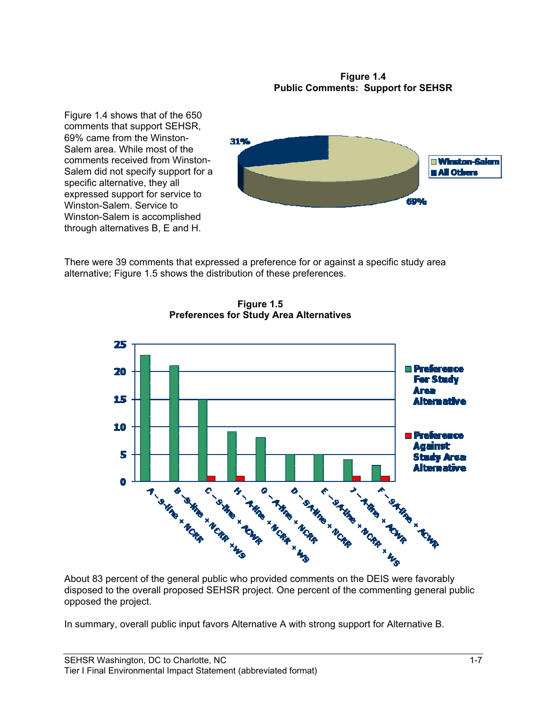#### **Figure 1.4 Public Comments: Support for SEHSR**

Figure 1.4 shows that of the 650 comments that support SEHSR, 69% came from the Winston-Salem area. While most of the comments received from Winston-Salem did not specify support for a specific alternative, they all expressed support for service to Winston-Salem. Service to Winston-Salem is accomplished through alternatives B, E and H.



There were 39 comments that expressed a preference for or against a specific study area alternative; Figure 1.5 shows the distribution of these preferences.



**Figure 1.5 Preferences for Study Area Alternatives**

disposed to the overall proposed SEHSR project. One percent of the commenting general public opposed the project.

In summary, overall public input favors Alternative A with strong support for Alternative B.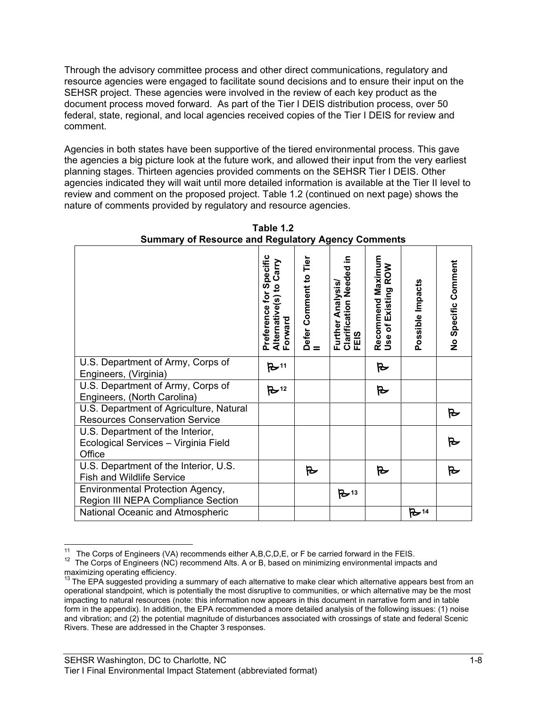Through the advisory committee process and other direct communications, regulatory and resource agencies were engaged to facilitate sound decisions and to ensure their input on the SEHSR project. These agencies were involved in the review of each key product as the document process moved forward. As part of the Tier I DEIS distribution process, over 50 federal, state, regional, and local agencies received copies of the Tier I DEIS for review and comment.

Agencies in both states have been supportive of the tiered environmental process. This gave the agencies a big picture look at the future work, and allowed their input from the very earliest planning stages. Thirteen agencies provided comments on the SEHSR Tier I DEIS. Other agencies indicated they will wait until more detailed information is available at the Tier II level to review and comment on the proposed project. Table 1.2 (continued on next page) shows the nature of comments provided by regulatory and resource agencies.

|                                                                                    | Specific<br>Carry<br>$\mathbf{S}$<br>for<br>Alternative(s) <del>1</del><br>Forward<br>Preference | Defer Comment to Tier<br>II | ≘.<br><b>Clarification Needed</b><br>Further Analysis/<br>FEIS | Maximum<br>Existing ROW<br>Recommend<br>Use of Existir | Possible Impacts  | No Specific Comment |
|------------------------------------------------------------------------------------|--------------------------------------------------------------------------------------------------|-----------------------------|----------------------------------------------------------------|--------------------------------------------------------|-------------------|---------------------|
| U.S. Department of Army, Corps of<br>Engineers, (Virginia)                         | $B$ 11                                                                                           |                             |                                                                | 对                                                      |                   |                     |
| U.S. Department of Army, Corps of<br>Engineers, (North Carolina)                   | $B$ <sup>12</sup>                                                                                |                             |                                                                | Ъ                                                      |                   |                     |
| U.S. Department of Agriculture, Natural<br><b>Resources Conservation Service</b>   |                                                                                                  |                             |                                                                |                                                        |                   | ₻                   |
| U.S. Department of the Interior,<br>Ecological Services - Virginia Field<br>Office |                                                                                                  |                             |                                                                |                                                        |                   |                     |
| U.S. Department of the Interior, U.S.<br><b>Fish and Wildlife Service</b>          |                                                                                                  | B                           |                                                                | Ъ                                                      |                   | ₻                   |
| Environmental Protection Agency,<br>Region III NEPA Compliance Section             |                                                                                                  |                             | $B - 13$                                                       |                                                        |                   |                     |
| National Oceanic and Atmospheric                                                   |                                                                                                  |                             |                                                                |                                                        | $B$ <sup>14</sup> |                     |

**Table 1.2 Summary of Resource and Regulatory Agency Comments**

<sup>&</sup>lt;sup>11</sup> The Corps of Engineers (VA) recommends either A,B,C,D,E, or F be carried forward in the FEIS.<br><sup>12</sup> The Corps of Engineers (NC) recommend Alts. A or B, based on minimizing environmental impacts and maximizing operating efficiency.

 $13$  The EPA suggested providing a summary of each alternative to make clear which alternative appears best from an operational standpoint, which is potentially the most disruptive to communities, or which alternative may be the most impacting to natural resources (note: this information now appears in this document in narrative form and in table form in the appendix). In addition, the EPA recommended a more detailed analysis of the following issues: (1) noise and vibration; and (2) the potential magnitude of disturbances associated with crossings of state and federal Scenic Rivers. These are addressed in the Chapter 3 responses.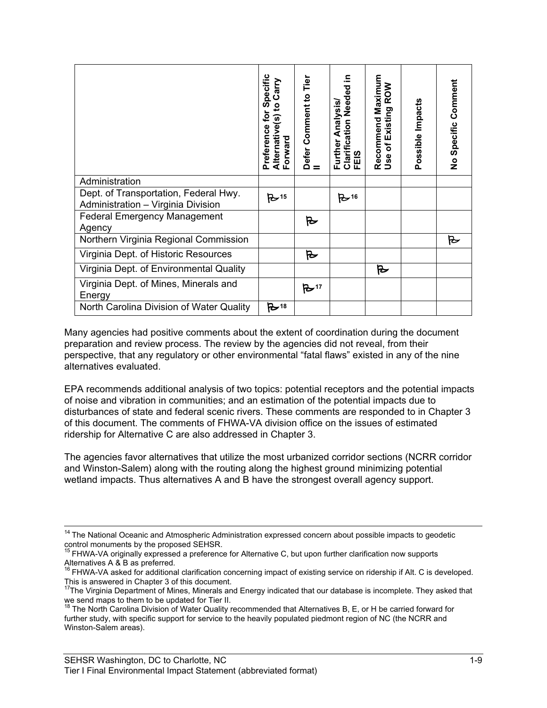|                                                                                                                                                                                                                                                                                                                                                                                                                                                                                                                                                                                                                                                                                                                                                                                                                                                                                                                                                                                   | Specific<br>Alternative(s) to Carry<br>Forward<br>Preference for | Defer Comment to Tier<br>II | Clarification Needed in<br>FEIS<br>Further Analysis/ | Recommend Maximum<br>Use of Existing ROW | Possible Impacts | No Specific Comment |
|-----------------------------------------------------------------------------------------------------------------------------------------------------------------------------------------------------------------------------------------------------------------------------------------------------------------------------------------------------------------------------------------------------------------------------------------------------------------------------------------------------------------------------------------------------------------------------------------------------------------------------------------------------------------------------------------------------------------------------------------------------------------------------------------------------------------------------------------------------------------------------------------------------------------------------------------------------------------------------------|------------------------------------------------------------------|-----------------------------|------------------------------------------------------|------------------------------------------|------------------|---------------------|
| Administration                                                                                                                                                                                                                                                                                                                                                                                                                                                                                                                                                                                                                                                                                                                                                                                                                                                                                                                                                                    |                                                                  |                             |                                                      |                                          |                  |                     |
| Dept. of Transportation, Federal Hwy.<br>Administration - Virginia Division                                                                                                                                                                                                                                                                                                                                                                                                                                                                                                                                                                                                                                                                                                                                                                                                                                                                                                       | $B^{-15}$                                                        |                             | $B^{-16}$                                            |                                          |                  |                     |
| <b>Federal Emergency Management</b><br>Agency                                                                                                                                                                                                                                                                                                                                                                                                                                                                                                                                                                                                                                                                                                                                                                                                                                                                                                                                     |                                                                  | Ъ                           |                                                      |                                          |                  |                     |
| Northern Virginia Regional Commission                                                                                                                                                                                                                                                                                                                                                                                                                                                                                                                                                                                                                                                                                                                                                                                                                                                                                                                                             |                                                                  |                             |                                                      |                                          |                  | 凡                   |
| Virginia Dept. of Historic Resources                                                                                                                                                                                                                                                                                                                                                                                                                                                                                                                                                                                                                                                                                                                                                                                                                                                                                                                                              |                                                                  | 凡                           |                                                      |                                          |                  |                     |
| Virginia Dept. of Environmental Quality                                                                                                                                                                                                                                                                                                                                                                                                                                                                                                                                                                                                                                                                                                                                                                                                                                                                                                                                           |                                                                  |                             |                                                      | 肚                                        |                  |                     |
| Virginia Dept. of Mines, Minerals and<br>Energy                                                                                                                                                                                                                                                                                                                                                                                                                                                                                                                                                                                                                                                                                                                                                                                                                                                                                                                                   |                                                                  | $B$ 17                      |                                                      |                                          |                  |                     |
| North Carolina Division of Water Quality                                                                                                                                                                                                                                                                                                                                                                                                                                                                                                                                                                                                                                                                                                                                                                                                                                                                                                                                          | $B$ <sup>18</sup>                                                |                             |                                                      |                                          |                  |                     |
| EPA recommends additional analysis of two topics: potential receptors and the potential impacts<br>of noise and vibration in communities; and an estimation of the potential impacts due to<br>disturbances of state and federal scenic rivers. These comments are responded to in Chapter 3<br>of this document. The comments of FHWA-VA division office on the issues of estimated<br>ridership for Alternative C are also addressed in Chapter 3.<br>The agencies favor alternatives that utilize the most urbanized corridor sections (NCRR corridor<br>and Winston-Salem) along with the routing along the highest ground minimizing potential<br>wetland impacts. Thus alternatives A and B have the strongest overall agency support.                                                                                                                                                                                                                                      |                                                                  |                             |                                                      |                                          |                  |                     |
| <sup>14</sup> The National Oceanic and Atmospheric Administration expressed concern about possible impacts to geodetic<br>control monuments by the proposed SEHSR.<br><sup>15</sup> FHWA-VA originally expressed a preference for Alternative C, but upon further clarification now supports<br>Alternatives A & B as preferred.<br><sup>16</sup> FHWA-VA asked for additional clarification concerning impact of existing service on ridership if Alt. C is developed.<br>This is answered in Chapter 3 of this document.<br>$^{17}$ The Virginia Department of Mines, Minerals and Energy indicated that our database is incomplete. They asked that<br>we send maps to them to be updated for Tier II.<br><sup>18</sup> The North Carolina Division of Water Quality recommended that Alternatives B, E, or H be carried forward for<br>further study, with specific support for service to the heavily populated piedmont region of NC (the NCRR and<br>Winston-Salem areas). |                                                                  |                             |                                                      |                                          |                  |                     |
| SEHSR Washington, DC to Charlotte, NC<br>Tier I Final Environmental Impact Statement (abbreviated format)                                                                                                                                                                                                                                                                                                                                                                                                                                                                                                                                                                                                                                                                                                                                                                                                                                                                         |                                                                  |                             |                                                      |                                          |                  |                     |

<sup>&</sup>lt;sup>14</sup> The National Oceanic and Atmospheric Administration expressed concern about possible impacts to geodetic

control monuments by the proposed SEHSR.<br><sup>15</sup> FHWA-VA originally expressed a preference for Alternative C, but upon further clarification now supports Alternatives A & B as preferred.

<sup>&</sup>lt;sup>16</sup> FHWA-VA asked for additional clarification concerning impact of existing service on ridership if Alt. C is developed.

This is answered in Chapter 3 of this document.<br><sup>17</sup>The Virginia Department of Mines, Minerals and Energy indicated that our database is incomplete. They asked that

we send maps to them to be updated for Tier II.<br><sup>18</sup> The North Carolina Division of Water Quality recommended that Alternatives B, E, or H be carried forward for further study, with specific support for service to the heavily populated piedmont region of NC (the NCRR and Winston-Salem areas).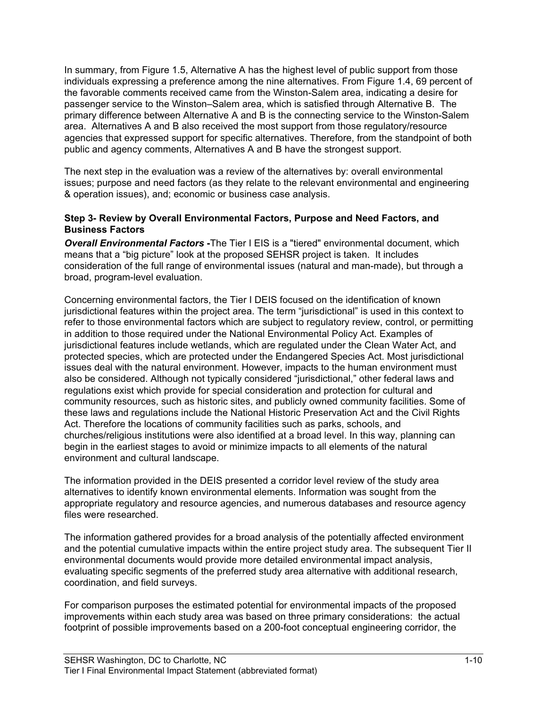In summary, from Figure 1.5, Alternative A has the highest level of public support from those individuals expressing a preference among the nine alternatives. From Figure 1.4, 69 percent of the favorable comments received came from the Winston-Salem area, indicating a desire for passenger service to the Winston–Salem area, which is satisfied through Alternative B. The primary difference between Alternative A and B is the connecting service to the Winston-Salem area. Alternatives A and B also received the most support from those regulatory/resource agencies that expressed support for specific alternatives. Therefore, from the standpoint of both public and agency comments, Alternatives A and B have the strongest support.

The next step in the evaluation was a review of the alternatives by: overall environmental issues; purpose and need factors (as they relate to the relevant environmental and engineering & operation issues), and; economic or business case analysis.

#### **Step 3- Review by Overall Environmental Factors, Purpose and Need Factors, and Business Factors**

*Overall Environmental Factors* **-**The Tier I EIS is a "tiered" environmental document, which means that a "big picture" look at the proposed SEHSR project is taken. It includes consideration of the full range of environmental issues (natural and man-made), but through a broad, program-level evaluation.

Concerning environmental factors, the Tier I DEIS focused on the identification of known jurisdictional features within the project area. The term "jurisdictional" is used in this context to refer to those environmental factors which are subject to regulatory review, control, or permitting in addition to those required under the National Environmental Policy Act. Examples of jurisdictional features include wetlands, which are regulated under the Clean Water Act, and protected species, which are protected under the Endangered Species Act. Most jurisdictional issues deal with the natural environment. However, impacts to the human environment must also be considered. Although not typically considered "jurisdictional," other federal laws and regulations exist which provide for special consideration and protection for cultural and community resources, such as historic sites, and publicly owned community facilities. Some of these laws and regulations include the National Historic Preservation Act and the Civil Rights Act. Therefore the locations of community facilities such as parks, schools, and churches/religious institutions were also identified at a broad level. In this way, planning can begin in the earliest stages to avoid or minimize impacts to all elements of the natural environment and cultural landscape.

The information provided in the DEIS presented a corridor level review of the study area alternatives to identify known environmental elements. Information was sought from the appropriate regulatory and resource agencies, and numerous databases and resource agency files were researched.

The information gathered provides for a broad analysis of the potentially affected environment and the potential cumulative impacts within the entire project study area. The subsequent Tier II environmental documents would provide more detailed environmental impact analysis, evaluating specific segments of the preferred study area alternative with additional research, coordination, and field surveys.

For comparison purposes the estimated potential for environmental impacts of the proposed improvements within each study area was based on three primary considerations: the actual footprint of possible improvements based on a 200-foot conceptual engineering corridor, the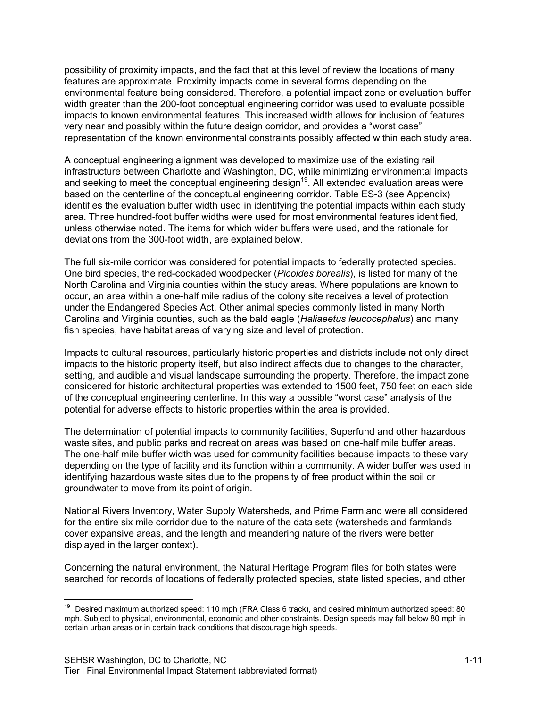possibility of proximity impacts, and the fact that at this level of review the locations of many features are approximate. Proximity impacts come in several forms depending on the environmental feature being considered. Therefore, a potential impact zone or evaluation buffer width greater than the 200-foot conceptual engineering corridor was used to evaluate possible impacts to known environmental features. This increased width allows for inclusion of features very near and possibly within the future design corridor, and provides a "worst case" representation of the known environmental constraints possibly affected within each study area.

A conceptual engineering alignment was developed to maximize use of the existing rail infrastructure between Charlotte and Washington, DC, while minimizing environmental impacts and seeking to meet the conceptual engineering design<sup>19</sup>. All extended evaluation areas were based on the centerline of the conceptual engineering corridor. Table ES-3 (see Appendix) identifies the evaluation buffer width used in identifying the potential impacts within each study area. Three hundred-foot buffer widths were used for most environmental features identified, unless otherwise noted. The items for which wider buffers were used, and the rationale for deviations from the 300-foot width, are explained below.

The full six-mile corridor was considered for potential impacts to federally protected species. One bird species, the red-cockaded woodpecker (*Picoides borealis*), is listed for many of the North Carolina and Virginia counties within the study areas. Where populations are known to occur, an area within a one-half mile radius of the colony site receives a level of protection under the Endangered Species Act. Other animal species commonly listed in many North Carolina and Virginia counties, such as the bald eagle (*Haliaeetus leucocephalus*) and many fish species, have habitat areas of varying size and level of protection.

Impacts to cultural resources, particularly historic properties and districts include not only direct impacts to the historic property itself, but also indirect affects due to changes to the character, setting, and audible and visual landscape surrounding the property. Therefore, the impact zone considered for historic architectural properties was extended to 1500 feet, 750 feet on each side of the conceptual engineering centerline. In this way a possible "worst case" analysis of the potential for adverse effects to historic properties within the area is provided.

The determination of potential impacts to community facilities, Superfund and other hazardous waste sites, and public parks and recreation areas was based on one-half mile buffer areas. The one-half mile buffer width was used for community facilities because impacts to these vary depending on the type of facility and its function within a community. A wider buffer was used in identifying hazardous waste sites due to the propensity of free product within the soil or groundwater to move from its point of origin.

National Rivers Inventory, Water Supply Watersheds, and Prime Farmland were all considered for the entire six mile corridor due to the nature of the data sets (watersheds and farmlands cover expansive areas, and the length and meandering nature of the rivers were better displayed in the larger context).

Concerning the natural environment, the Natural Heritage Program files for both states were searched for records of locations of federally protected species, state listed species, and other

<sup>&</sup>lt;sup>19</sup> Desired maximum authorized speed: 110 mph (FRA Class 6 track), and desired minimum authorized speed: 80 mph. Subject to physical, environmental, economic and other constraints. Design speeds may fall below 80 mph in certain urban areas or in certain track conditions that discourage high speeds.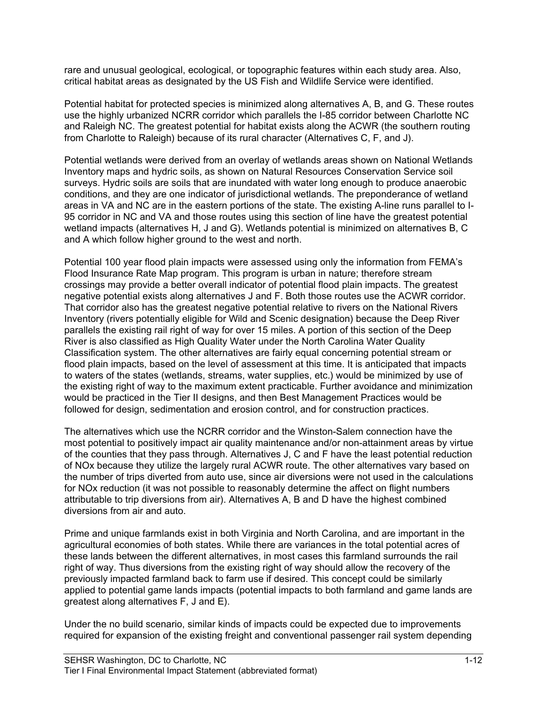rare and unusual geological, ecological, or topographic features within each study area. Also, critical habitat areas as designated by the US Fish and Wildlife Service were identified.

Potential habitat for protected species is minimized along alternatives A, B, and G. These routes use the highly urbanized NCRR corridor which parallels the I-85 corridor between Charlotte NC and Raleigh NC. The greatest potential for habitat exists along the ACWR (the southern routing from Charlotte to Raleigh) because of its rural character (Alternatives C, F, and J).

Potential wetlands were derived from an overlay of wetlands areas shown on National Wetlands Inventory maps and hydric soils, as shown on Natural Resources Conservation Service soil surveys. Hydric soils are soils that are inundated with water long enough to produce anaerobic conditions, and they are one indicator of jurisdictional wetlands. The preponderance of wetland areas in VA and NC are in the eastern portions of the state. The existing A-line runs parallel to I-95 corridor in NC and VA and those routes using this section of line have the greatest potential wetland impacts (alternatives H, J and G). Wetlands potential is minimized on alternatives B, C and A which follow higher ground to the west and north.

Potential 100 year flood plain impacts were assessed using only the information from FEMA's Flood Insurance Rate Map program. This program is urban in nature; therefore stream crossings may provide a better overall indicator of potential flood plain impacts. The greatest negative potential exists along alternatives J and F. Both those routes use the ACWR corridor. That corridor also has the greatest negative potential relative to rivers on the National Rivers Inventory (rivers potentially eligible for Wild and Scenic designation) because the Deep River parallels the existing rail right of way for over 15 miles. A portion of this section of the Deep River is also classified as High Quality Water under the North Carolina Water Quality Classification system. The other alternatives are fairly equal concerning potential stream or flood plain impacts, based on the level of assessment at this time. It is anticipated that impacts to waters of the states (wetlands, streams, water supplies, etc.) would be minimized by use of the existing right of way to the maximum extent practicable. Further avoidance and minimization would be practiced in the Tier II designs, and then Best Management Practices would be followed for design, sedimentation and erosion control, and for construction practices.

The alternatives which use the NCRR corridor and the Winston-Salem connection have the most potential to positively impact air quality maintenance and/or non-attainment areas by virtue of the counties that they pass through. Alternatives J, C and F have the least potential reduction of NOx because they utilize the largely rural ACWR route. The other alternatives vary based on the number of trips diverted from auto use, since air diversions were not used in the calculations for NOx reduction (it was not possible to reasonably determine the affect on flight numbers attributable to trip diversions from air). Alternatives A, B and D have the highest combined diversions from air and auto.

Prime and unique farmlands exist in both Virginia and North Carolina, and are important in the agricultural economies of both states. While there are variances in the total potential acres of these lands between the different alternatives, in most cases this farmland surrounds the rail right of way. Thus diversions from the existing right of way should allow the recovery of the previously impacted farmland back to farm use if desired. This concept could be similarly applied to potential game lands impacts (potential impacts to both farmland and game lands are greatest along alternatives F, J and E).

Under the no build scenario, similar kinds of impacts could be expected due to improvements required for expansion of the existing freight and conventional passenger rail system depending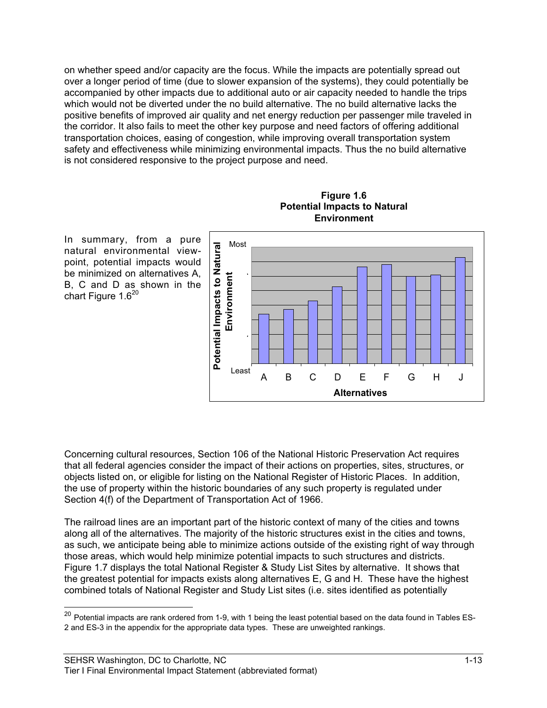on whether speed and/or capacity are the focus. While the impacts are potentially spread out over a longer period of time (due to slower expansion of the systems), they could potentially be accompanied by other impacts due to additional auto or air capacity needed to handle the trips which would not be diverted under the no build alternative. The no build alternative lacks the positive benefits of improved air quality and net energy reduction per passenger mile traveled in the corridor. It also fails to meet the other key purpose and need factors of offering additional transportation choices, easing of congestion, while improving overall transportation system safety and effectiveness while minimizing environmental impacts. Thus the no build alternative is not considered responsive to the project purpose and need.





In summary, from a pure natural environmental viewpoint, potential impacts would be minimized on alternatives A, B, C and D as shown in the chart Figure 1.6<sup>20</sup>

Concerning cultural resources, Section 106 of the National Historic Preservation Act requires that all federal agencies consider the impact of their actions on properties, sites, structures, or objects listed on, or eligible for listing on the National Register of Historic Places. In addition, the use of property within the historic boundaries of any such property is regulated under Section 4(f) of the Department of Transportation Act of 1966.

The railroad lines are an important part of the historic context of many of the cities and towns along all of the alternatives. The majority of the historic structures exist in the cities and towns, as such, we anticipate being able to minimize actions outside of the existing right of way through those areas, which would help minimize potential impacts to such structures and districts. Figure 1.7 displays the total National Register & Study List Sites by alternative. It shows that the greatest potential for impacts exists along alternatives E, G and H. These have the highest combined totals of National Register and Study List sites (i.e. sites identified as potentially

 $20$  Potential impacts are rank ordered from 1-9, with 1 being the least potential based on the data found in Tables ES-2 and ES-3 in the appendix for the appropriate data types. These are unweighted rankings.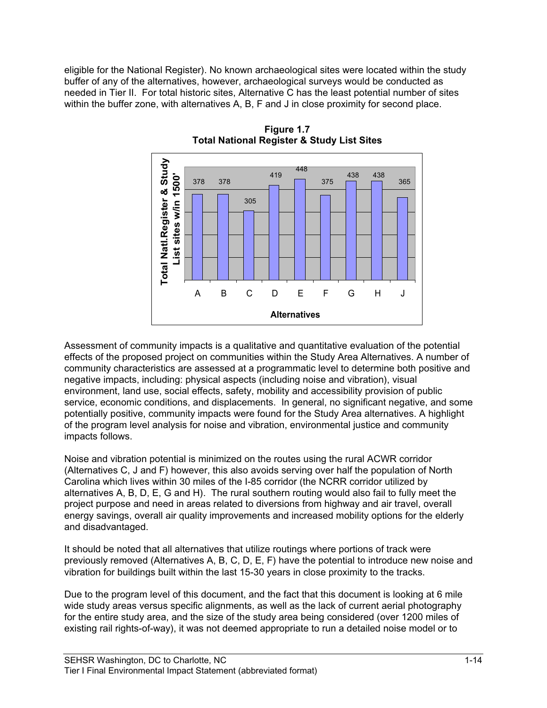eligible for the National Register). No known archaeological sites were located within the study buffer of any of the alternatives, however, archaeological surveys would be conducted as needed in Tier II. For total historic sites, Alternative C has the least potential number of sites within the buffer zone, with alternatives A, B, F and J in close proximity for second place.



**Figure 1.7 Total National Register & Study List Sites**

Assessment of community impacts is a qualitative and quantitative evaluation of the potential effects of the proposed project on communities within the Study Area Alternatives. A number of community characteristics are assessed at a programmatic level to determine both positive and negative impacts, including: physical aspects (including noise and vibration), visual environment, land use, social effects, safety, mobility and accessibility provision of public service, economic conditions, and displacements. In general, no significant negative, and some potentially positive, community impacts were found for the Study Area alternatives. A highlight of the program level analysis for noise and vibration, environmental justice and community impacts follows.

Noise and vibration potential is minimized on the routes using the rural ACWR corridor (Alternatives C, J and F) however, this also avoids serving over half the population of North Carolina which lives within 30 miles of the I-85 corridor (the NCRR corridor utilized by alternatives A, B, D, E, G and H). The rural southern routing would also fail to fully meet the project purpose and need in areas related to diversions from highway and air travel, overall energy savings, overall air quality improvements and increased mobility options for the elderly and disadvantaged.

It should be noted that all alternatives that utilize routings where portions of track were previously removed (Alternatives A, B, C, D, E, F) have the potential to introduce new noise and vibration for buildings built within the last 15-30 years in close proximity to the tracks.

Due to the program level of this document, and the fact that this document is looking at 6 mile wide study areas versus specific alignments, as well as the lack of current aerial photography for the entire study area, and the size of the study area being considered (over 1200 miles of existing rail rights-of-way), it was not deemed appropriate to run a detailed noise model or to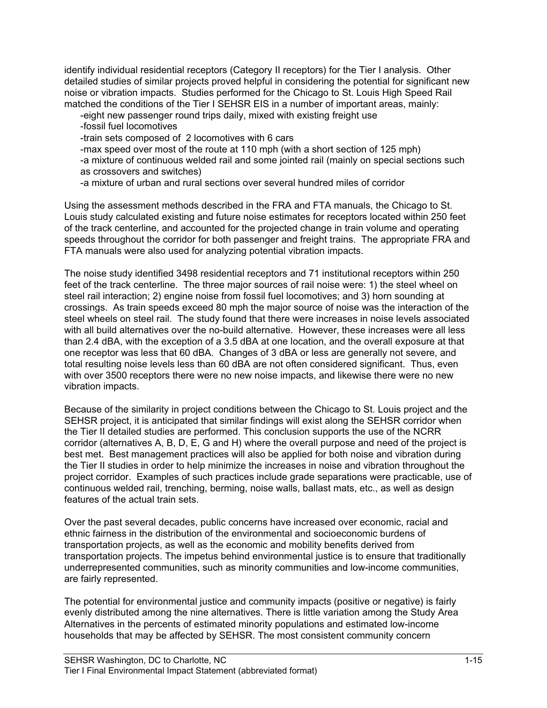identify individual residential receptors (Category II receptors) for the Tier I analysis. Other detailed studies of similar projects proved helpful in considering the potential for significant new noise or vibration impacts. Studies performed for the Chicago to St. Louis High Speed Rail matched the conditions of the Tier I SEHSR EIS in a number of important areas, mainly:

-eight new passenger round trips daily, mixed with existing freight use

-fossil fuel locomotives

-train sets composed of 2 locomotives with 6 cars

-max speed over most of the route at 110 mph (with a short section of 125 mph)

-a mixture of continuous welded rail and some jointed rail (mainly on special sections such as crossovers and switches)

-a mixture of urban and rural sections over several hundred miles of corridor

Using the assessment methods described in the FRA and FTA manuals, the Chicago to St. Louis study calculated existing and future noise estimates for receptors located within 250 feet of the track centerline, and accounted for the projected change in train volume and operating speeds throughout the corridor for both passenger and freight trains. The appropriate FRA and FTA manuals were also used for analyzing potential vibration impacts.

The noise study identified 3498 residential receptors and 71 institutional receptors within 250 feet of the track centerline. The three major sources of rail noise were: 1) the steel wheel on steel rail interaction; 2) engine noise from fossil fuel locomotives; and 3) horn sounding at crossings. As train speeds exceed 80 mph the major source of noise was the interaction of the steel wheels on steel rail. The study found that there were increases in noise levels associated with all build alternatives over the no-build alternative. However, these increases were all less than 2.4 dBA, with the exception of a 3.5 dBA at one location, and the overall exposure at that one receptor was less that 60 dBA. Changes of 3 dBA or less are generally not severe, and total resulting noise levels less than 60 dBA are not often considered significant. Thus, even with over 3500 receptors there were no new noise impacts, and likewise there were no new vibration impacts.

Because of the similarity in project conditions between the Chicago to St. Louis project and the SEHSR project, it is anticipated that similar findings will exist along the SEHSR corridor when the Tier II detailed studies are performed. This conclusion supports the use of the NCRR corridor (alternatives A, B, D, E, G and H) where the overall purpose and need of the project is best met. Best management practices will also be applied for both noise and vibration during the Tier II studies in order to help minimize the increases in noise and vibration throughout the project corridor. Examples of such practices include grade separations were practicable, use of continuous welded rail, trenching, berming, noise walls, ballast mats, etc., as well as design features of the actual train sets.

Over the past several decades, public concerns have increased over economic, racial and ethnic fairness in the distribution of the environmental and socioeconomic burdens of transportation projects, as well as the economic and mobility benefits derived from transportation projects. The impetus behind environmental justice is to ensure that traditionally underrepresented communities, such as minority communities and low-income communities, are fairly represented.

The potential for environmental justice and community impacts (positive or negative) is fairly evenly distributed among the nine alternatives. There is little variation among the Study Area Alternatives in the percents of estimated minority populations and estimated low-income households that may be affected by SEHSR. The most consistent community concern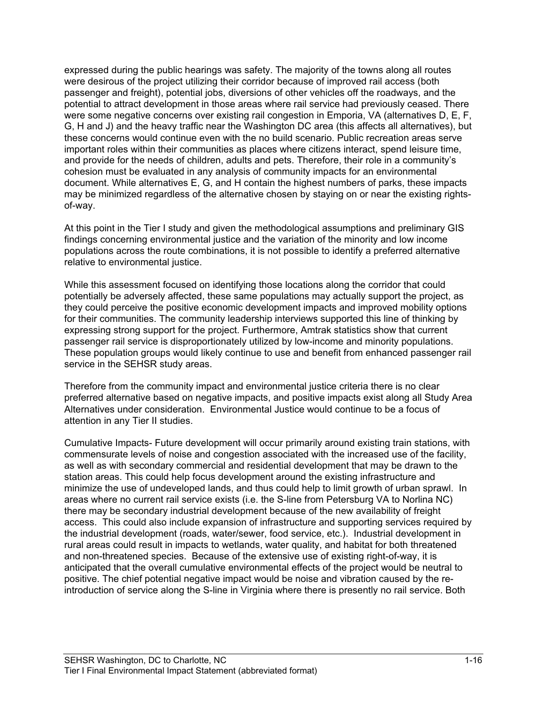expressed during the public hearings was safety. The majority of the towns along all routes were desirous of the project utilizing their corridor because of improved rail access (both passenger and freight), potential jobs, diversions of other vehicles off the roadways, and the potential to attract development in those areas where rail service had previously ceased. There were some negative concerns over existing rail congestion in Emporia, VA (alternatives D, E, F, G, H and J) and the heavy traffic near the Washington DC area (this affects all alternatives), but these concerns would continue even with the no build scenario. Public recreation areas serve important roles within their communities as places where citizens interact, spend leisure time, and provide for the needs of children, adults and pets. Therefore, their role in a community's cohesion must be evaluated in any analysis of community impacts for an environmental document. While alternatives E, G, and H contain the highest numbers of parks, these impacts may be minimized regardless of the alternative chosen by staying on or near the existing rightsof-way.

At this point in the Tier I study and given the methodological assumptions and preliminary GIS findings concerning environmental justice and the variation of the minority and low income populations across the route combinations, it is not possible to identify a preferred alternative relative to environmental justice.

While this assessment focused on identifying those locations along the corridor that could potentially be adversely affected, these same populations may actually support the project, as they could perceive the positive economic development impacts and improved mobility options for their communities. The community leadership interviews supported this line of thinking by expressing strong support for the project. Furthermore, Amtrak statistics show that current passenger rail service is disproportionately utilized by low-income and minority populations. These population groups would likely continue to use and benefit from enhanced passenger rail service in the SEHSR study areas.

Therefore from the community impact and environmental justice criteria there is no clear preferred alternative based on negative impacts, and positive impacts exist along all Study Area Alternatives under consideration. Environmental Justice would continue to be a focus of attention in any Tier II studies.

Cumulative Impacts- Future development will occur primarily around existing train stations, with commensurate levels of noise and congestion associated with the increased use of the facility, as well as with secondary commercial and residential development that may be drawn to the station areas. This could help focus development around the existing infrastructure and minimize the use of undeveloped lands, and thus could help to limit growth of urban sprawl. In areas where no current rail service exists (i.e. the S-line from Petersburg VA to Norlina NC) there may be secondary industrial development because of the new availability of freight access. This could also include expansion of infrastructure and supporting services required by the industrial development (roads, water/sewer, food service, etc.). Industrial development in rural areas could result in impacts to wetlands, water quality, and habitat for both threatened and non-threatened species. Because of the extensive use of existing right-of-way, it is anticipated that the overall cumulative environmental effects of the project would be neutral to positive. The chief potential negative impact would be noise and vibration caused by the reintroduction of service along the S-line in Virginia where there is presently no rail service. Both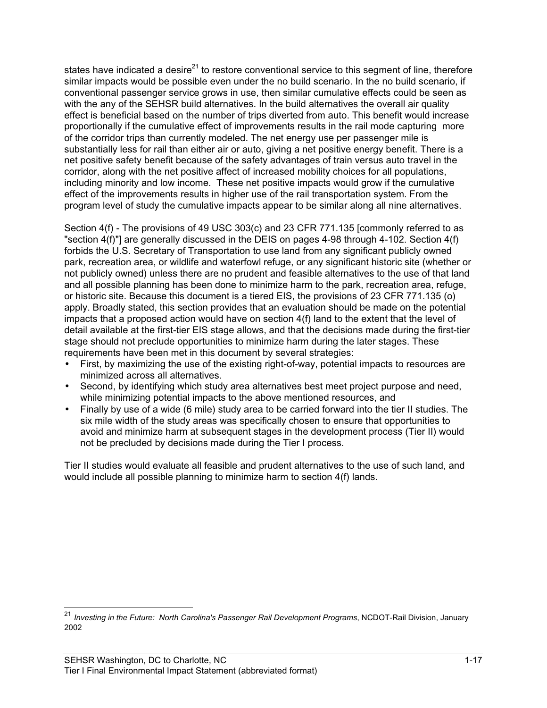states have indicated a desire<sup>21</sup> to restore conventional service to this segment of line, therefore similar impacts would be possible even under the no build scenario. In the no build scenario, if conventional passenger service grows in use, then similar cumulative effects could be seen as with the any of the SEHSR build alternatives. In the build alternatives the overall air quality effect is beneficial based on the number of trips diverted from auto. This benefit would increase proportionally if the cumulative effect of improvements results in the rail mode capturing more of the corridor trips than currently modeled. The net energy use per passenger mile is substantially less for rail than either air or auto, giving a net positive energy benefit. There is a net positive safety benefit because of the safety advantages of train versus auto travel in the corridor, along with the net positive affect of increased mobility choices for all populations, including minority and low income. These net positive impacts would grow if the cumulative effect of the improvements results in higher use of the rail transportation system. From the program level of study the cumulative impacts appear to be similar along all nine alternatives.

Section 4(f) - The provisions of 49 USC 303(c) and 23 CFR 771.135 [commonly referred to as "section 4(f)"] are generally discussed in the DEIS on pages 4-98 through 4-102. Section 4(f) forbids the U.S. Secretary of Transportation to use land from any significant publicly owned park, recreation area, or wildlife and waterfowl refuge, or any significant historic site (whether or not publicly owned) unless there are no prudent and feasible alternatives to the use of that land and all possible planning has been done to minimize harm to the park, recreation area, refuge, or historic site. Because this document is a tiered EIS, the provisions of 23 CFR 771.135 (o) apply. Broadly stated, this section provides that an evaluation should be made on the potential impacts that a proposed action would have on section 4(f) land to the extent that the level of detail available at the first-tier EIS stage allows, and that the decisions made during the first-tier stage should not preclude opportunities to minimize harm during the later stages. These requirements have been met in this document by several strategies:

- First, by maximizing the use of the existing right-of-way, potential impacts to resources are minimized across all alternatives.
- Second, by identifying which study area alternatives best meet project purpose and need, while minimizing potential impacts to the above mentioned resources, and
- Finally by use of a wide (6 mile) study area to be carried forward into the tier II studies. The six mile width of the study areas was specifically chosen to ensure that opportunities to avoid and minimize harm at subsequent stages in the development process (Tier II) would not be precluded by decisions made during the Tier I process.

Tier II studies would evaluate all feasible and prudent alternatives to the use of such land, and would include all possible planning to minimize harm to section 4(f) lands.

 <sup>21</sup> *Investing in the Future: North Carolina's Passenger Rail Development Programs*, NCDOT-Rail Division, January 2002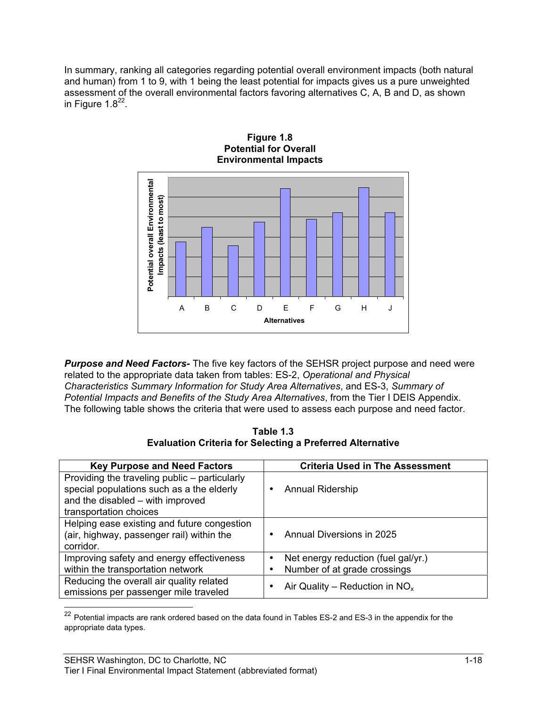In summary, ranking all categories regarding potential overall environment impacts (both natural and human) from 1 to 9, with 1 being the least potential for impacts gives us a pure unweighted assessment of the overall environmental factors favoring alternatives C, A, B and D, as shown in Figure  $1.8^{22}$ .



*Purpose and Need Factors-* The five key factors of the SEHSR project purpose and need were related to the appropriate data taken from tables: ES-2, *Operational and Physical Characteristics Summary Information for Study Area Alternatives*, and ES-3, *Summary of Potential Impacts and Benefits of the Study Area Alternatives*, from the Tier I DEIS Appendix. The following table shows the criteria that were used to assess each purpose and need factor.

**Table 1.3 Evaluation Criteria for Selecting a Preferred Alternative**

| <b>Key Purpose and Need Factors</b>                                                                                                                      | <b>Criteria Used in The Assessment</b> |
|----------------------------------------------------------------------------------------------------------------------------------------------------------|----------------------------------------|
| Providing the traveling public – particularly<br>special populations such as a the elderly<br>and the disabled - with improved<br>transportation choices | <b>Annual Ridership</b>                |
| Helping ease existing and future congestion<br>(air, highway, passenger rail) within the<br>corridor.                                                    | Annual Diversions in 2025              |
| Improving safety and energy effectiveness                                                                                                                | Net energy reduction (fuel gal/yr.)    |
| within the transportation network                                                                                                                        | Number of at grade crossings           |
| Reducing the overall air quality related<br>emissions per passenger mile traveled                                                                        | Air Quality – Reduction in $NOx$       |

 $22$  Potential impacts are rank ordered based on the data found in Tables ES-2 and ES-3 in the appendix for the appropriate data types.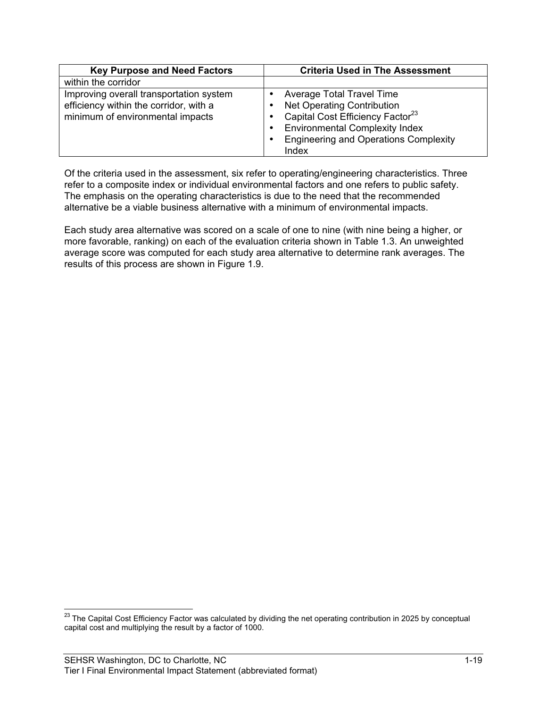| <b>Key Purpose and Need Factors</b>                                                                                   | <b>Criteria Used in The Assessment</b>                                                                                                                                                                           |  |  |  |
|-----------------------------------------------------------------------------------------------------------------------|------------------------------------------------------------------------------------------------------------------------------------------------------------------------------------------------------------------|--|--|--|
| within the corridor                                                                                                   |                                                                                                                                                                                                                  |  |  |  |
| Improving overall transportation system<br>efficiency within the corridor, with a<br>minimum of environmental impacts | Average Total Travel Time<br><b>Net Operating Contribution</b><br>Capital Cost Efficiency Factor <sup>23</sup><br><b>Environmental Complexity Index</b><br><b>Engineering and Operations Complexity</b><br>Index |  |  |  |

Of the criteria used in the assessment, six refer to operating/engineering characteristics. Three refer to a composite index or individual environmental factors and one refers to public safety. The emphasis on the operating characteristics is due to the need that the recommended alternative be a viable business alternative with a minimum of environmental impacts.

Each study area alternative was scored on a scale of one to nine (with nine being a higher, or more favorable, ranking) on each of the evaluation criteria shown in Table 1.3. An unweighted average score was computed for each study area alternative to determine rank averages. The results of this process are shown in Figure 1.9.

<sup>&</sup>lt;sup>23</sup> The Capital Cost Efficiency Factor was calculated by dividing the net operating contribution in 2025 by conceptual capital cost and multiplying the result by a factor of 1000.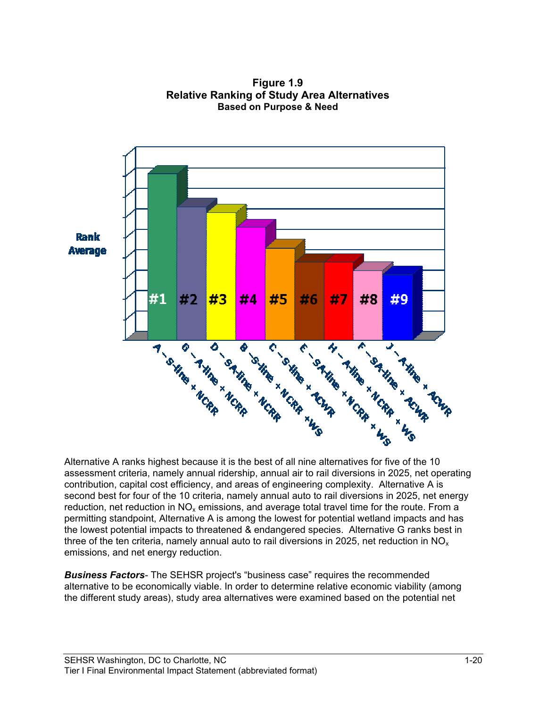

**Figure 1.9 Relative Ranking of Study Area Alternatives Based on Purpose & Need**

Alternative A ranks highest because it is the best of all nine alternatives for five of the 10 assessment criteria, namely annual ridership, annual air to rail diversions in 2025, net operating contribution, capital cost efficiency, and areas of engineering complexity. Alternative A is second best for four of the 10 criteria, namely annual auto to rail diversions in 2025, net energy reduction, net reduction in  $NO<sub>x</sub>$  emissions, and average total travel time for the route. From a permitting standpoint, Alternative A is among the lowest for potential wetland impacts and has the lowest potential impacts to threatened & endangered species. Alternative G ranks best in three of the ten criteria, namely annual auto to rail diversions in 2025, net reduction in  $NO<sub>x</sub>$ emissions, and net energy reduction.

*Business Factors-* The SEHSR project's "business case" requires the recommended alternative to be economically viable. In order to determine relative economic viability (among the different study areas), study area alternatives were examined based on the potential net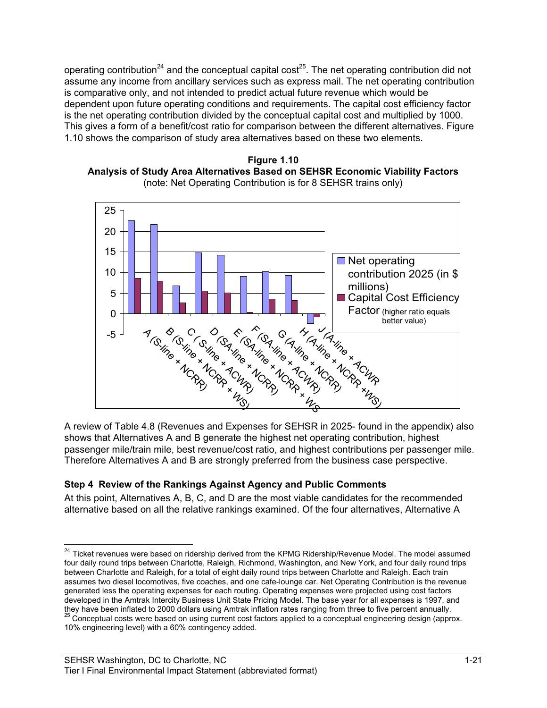operating contribution<sup>24</sup> and the conceptual capital cost<sup>25</sup>. The net operating contribution did not assume any income from ancillary services such as express mail. The net operating contribution is comparative only, and not intended to predict actual future revenue which would be dependent upon future operating conditions and requirements. The capital cost efficiency factor is the net operating contribution divided by the conceptual capital cost and multiplied by 1000. This gives a form of a benefit/cost ratio for comparison between the different alternatives. Figure 1.10 shows the comparison of study area alternatives based on these two elements.





A review of Table 4.8 (Revenues and Expenses for SEHSR in 2025- found in the appendix) also shows that Alternatives A and B generate the highest net operating contribution, highest passenger mile/train mile, best revenue/cost ratio, and highest contributions per passenger mile. Therefore Alternatives A and B are strongly preferred from the business case perspective.

### **Step 4 Review of the Rankings Against Agency and Public Comments**

At this point, Alternatives A, B, C, and D are the most viable candidates for the recommended alternative based on all the relative rankings examined. Of the four alternatives, Alternative A

<sup>&</sup>lt;sup>24</sup> Ticket revenues were based on ridership derived from the KPMG Ridership/Revenue Model. The model assumed four daily round trips between Charlotte, Raleigh, Richmond, Washington, and New York, and four daily round trips between Charlotte and Raleigh, for a total of eight daily round trips between Charlotte and Raleigh. Each train assumes two diesel locomotives, five coaches, and one cafe-lounge car. Net Operating Contribution is the revenue generated less the operating expenses for each routing. Operating expenses were projected using cost factors developed in the Amtrak Intercity Business Unit State Pricing Model. The base year for all expenses is 1997, and they have been inflated to 2000 dollars using Amtrak inflation rates ranging from three to five percent annually. 25 Conceptual costs were based on using current cost factors applied to a conceptual engineering design (approx. 10% engineering level) with a 60% contingency added.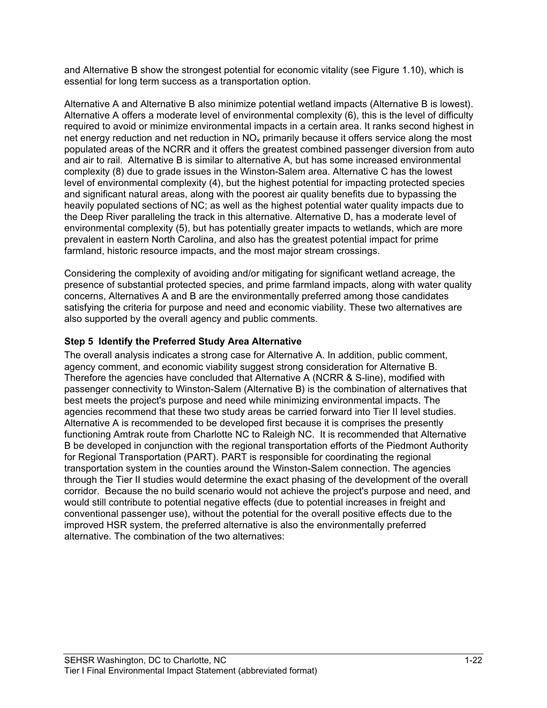and Alternative B show the strongest potential for economic vitality (see Figure 1.10), which is essential for long term success as a transportation option.

Alternative A and Alternative B also minimize potential wetland impacts (Alternative B is lowest). Alternative A offers a moderate level of environmental complexity (6), this is the level of difficulty required to avoid or minimize environmental impacts in a certain area. It ranks second highest in net energy reduction and net reduction in  $NO<sub>x</sub>$  primarily because it offers service along the most populated areas of the NCRR and it offers the greatest combined passenger diversion from auto and air to rail. Alternative B is similar to alternative A, but has some increased environmental complexity (8) due to grade issues in the Winston-Salem area. Alternative C has the lowest level of environmental complexity (4), but the highest potential for impacting protected species and significant natural areas, along with the poorest air quality benefits due to bypassing the heavily populated sections of NC; as well as the highest potential water quality impacts due to the Deep River paralleling the track in this alternative. Alternative D, has a moderate level of environmental complexity (5), but has potentially greater impacts to wetlands, which are more prevalent in eastern North Carolina, and also has the greatest potential impact for prime farmland, historic resource impacts, and the most major stream crossings.

Considering the complexity of avoiding and/or mitigating for significant wetland acreage, the presence of substantial protected species, and prime farmland impacts, along with water quality concerns, Alternatives A and B are the environmentally preferred among those candidates satisfying the criteria for purpose and need and economic viability. These two alternatives are also supported by the overall agency and public comments.

### **Step 5 Identify the Preferred Study Area Alternative**

The overall analysis indicates a strong case for Alternative A. In addition, public comment, agency comment, and economic viability suggest strong consideration for Alternative B. Therefore the agencies have concluded that Alternative A (NCRR & S-line), modified with passenger connectivity to Winston-Salem (Alternative B) is the combination of alternatives that best meets the project's purpose and need while minimizing environmental impacts. The agencies recommend that these two study areas be carried forward into Tier II level studies. Alternative A is recommended to be developed first because it is comprises the presently functioning Amtrak route from Charlotte NC to Raleigh NC. It is recommended that Alternative B be developed in conjunction with the regional transportation efforts of the Piedmont Authority for Regional Transportation (PART). PART is responsible for coordinating the regional transportation system in the counties around the Winston-Salem connection. The agencies through the Tier II studies would determine the exact phasing of the development of the overall corridor. Because the no build scenario would not achieve the project's purpose and need, and would still contribute to potential negative effects (due to potential increases in freight and conventional passenger use), without the potential for the overall positive effects due to the improved HSR system, the preferred alternative is also the environmentally preferred alternative. The combination of the two alternatives: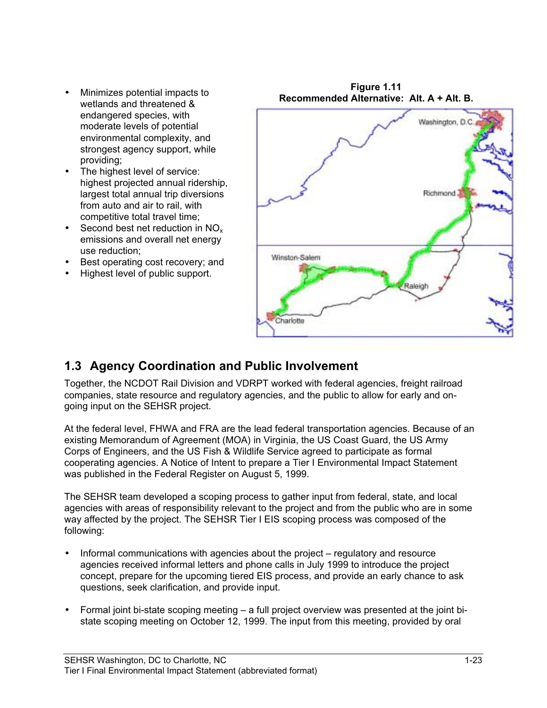- wetlands and threatened & endangered species, with moderate levels of potential environmental complexity, and strongest agency support, while providing;
- The highest level of service: highest projected annual ridership, largest total annual trip diversions from auto and air to rail, with competitive total travel time;
- Second best net reduction in  $NO<sub>x</sub>$ emissions and overall net energy use reduction;
- Best operating cost recovery; and
- Highest level of public support.



**Figure 1.11**

# **1.3 Agency Coordination and Public Involvement**

Together, the NCDOT Rail Division and VDRPT worked with federal agencies, freight railroad companies, state resource and regulatory agencies, and the public to allow for early and ongoing input on the SEHSR project.

At the federal level, FHWA and FRA are the lead federal transportation agencies. Because of an existing Memorandum of Agreement (MOA) in Virginia, the US Coast Guard, the US Army Corps of Engineers, and the US Fish & Wildlife Service agreed to participate as formal cooperating agencies. A Notice of Intent to prepare a Tier I Environmental Impact Statement was published in the Federal Register on August 5, 1999.

The SEHSR team developed a scoping process to gather input from federal, state, and local agencies with areas of responsibility relevant to the project and from the public who are in some way affected by the project. The SEHSR Tier I EIS scoping process was composed of the following:

- Informal communications with agencies about the project regulatory and resource agencies received informal letters and phone calls in July 1999 to introduce the project concept, prepare for the upcoming tiered EIS process, and provide an early chance to ask questions, seek clarification, and provide input.
- Formal joint bi-state scoping meeting a full project overview was presented at the joint bistate scoping meeting on October 12, 1999. The input from this meeting, provided by oral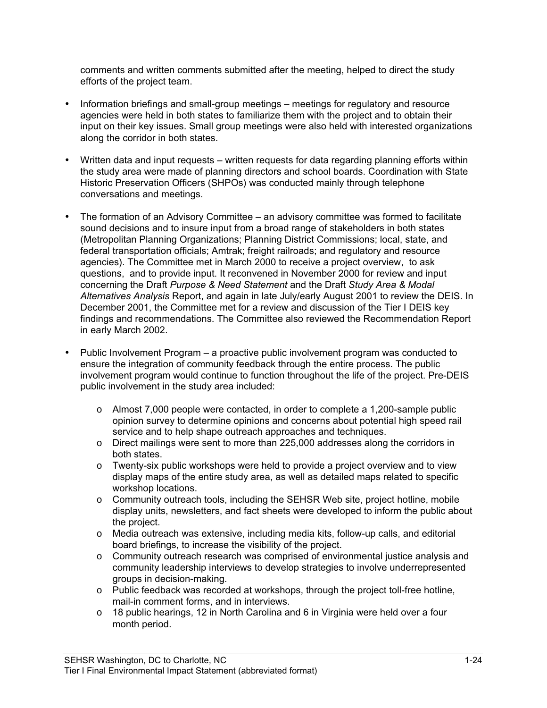comments and written comments submitted after the meeting, helped to direct the study efforts of the project team.

- Information briefings and small-group meetings meetings for regulatory and resource agencies were held in both states to familiarize them with the project and to obtain their input on their key issues. Small group meetings were also held with interested organizations along the corridor in both states.
- Written data and input requests written requests for data regarding planning efforts within the study area were made of planning directors and school boards. Coordination with State Historic Preservation Officers (SHPOs) was conducted mainly through telephone conversations and meetings.
- The formation of an Advisory Committee an advisory committee was formed to facilitate sound decisions and to insure input from a broad range of stakeholders in both states (Metropolitan Planning Organizations; Planning District Commissions; local, state, and federal transportation officials; Amtrak; freight railroads; and regulatory and resource agencies). The Committee met in March 2000 to receive a project overview, to ask questions, and to provide input. It reconvened in November 2000 for review and input concerning the Draft *Purpose & Need Statement* and the Draft *Study Area & Modal Alternatives Analysis* Report, and again in late July/early August 2001 to review the DEIS. In December 2001, the Committee met for a review and discussion of the Tier I DEIS key findings and recommendations. The Committee also reviewed the Recommendation Report in early March 2002.
- Public Involvement Program a proactive public involvement program was conducted to ensure the integration of community feedback through the entire process. The public involvement program would continue to function throughout the life of the project. Pre-DEIS public involvement in the study area included:
	- $\circ$  Almost 7,000 people were contacted, in order to complete a 1,200-sample public opinion survey to determine opinions and concerns about potential high speed rail service and to help shape outreach approaches and techniques.
	- o Direct mailings were sent to more than 225,000 addresses along the corridors in both states.
	- $\circ$  Twenty-six public workshops were held to provide a project overview and to view display maps of the entire study area, as well as detailed maps related to specific workshop locations.
	- o Community outreach tools, including the SEHSR Web site, project hotline, mobile display units, newsletters, and fact sheets were developed to inform the public about the project.
	- o Media outreach was extensive, including media kits, follow-up calls, and editorial board briefings, to increase the visibility of the project.
	- o Community outreach research was comprised of environmental justice analysis and community leadership interviews to develop strategies to involve underrepresented groups in decision-making.
	- o Public feedback was recorded at workshops, through the project toll-free hotline, mail-in comment forms, and in interviews.
	- $\circ$  18 public hearings, 12 in North Carolina and 6 in Virginia were held over a four month period.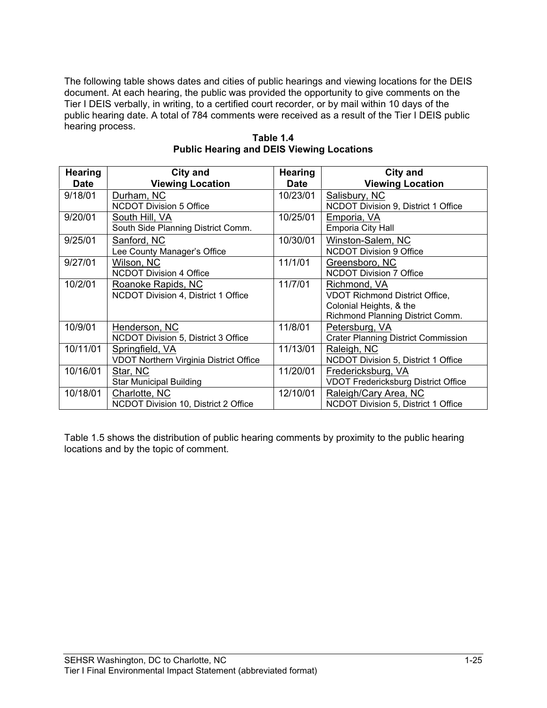The following table shows dates and cities of public hearings and viewing locations for the DEIS document. At each hearing, the public was provided the opportunity to give comments on the Tier I DEIS verbally, in writing, to a certified court recorder, or by mail within 10 days of the public hearing date. A total of 784 comments were received as a result of the Tier I DEIS public hearing process.

| <b>Hearing</b> | <b>City and</b>                               | <b>Hearing</b> | <b>City and</b>                            |
|----------------|-----------------------------------------------|----------------|--------------------------------------------|
| Date           | <b>Viewing Location</b>                       | <b>Date</b>    | <b>Viewing Location</b>                    |
| 9/18/01        | Durham, NC                                    | 10/23/01       | Salisbury, NC                              |
|                | <b>NCDOT Division 5 Office</b>                |                | NCDOT Division 9, District 1 Office        |
| 9/20/01        | South Hill, VA                                | 10/25/01       | Emporia, VA                                |
|                | South Side Planning District Comm.            |                | Emporia City Hall                          |
| 9/25/01        | Sanford, NC                                   | 10/30/01       | Winston-Salem, NC                          |
|                | Lee County Manager's Office                   |                | <b>NCDOT Division 9 Office</b>             |
| 9/27/01        | Wilson, NC                                    | 11/1/01        | Greensboro, NC                             |
|                | <b>NCDOT Division 4 Office</b>                |                | <b>NCDOT Division 7 Office</b>             |
| 10/2/01        | Roanoke Rapids, NC                            | 11/7/01        | Richmond, VA                               |
|                | NCDOT Division 4, District 1 Office           |                | <b>VDOT Richmond District Office,</b>      |
|                |                                               |                | Colonial Heights, & the                    |
|                |                                               |                | Richmond Planning District Comm.           |
| 10/9/01        | Henderson, NC                                 | 11/8/01        | Petersburg, VA                             |
|                | NCDOT Division 5, District 3 Office           |                | <b>Crater Planning District Commission</b> |
| 10/11/01       | Springfield, VA                               | 11/13/01       | Raleigh, NC                                |
|                | <b>VDOT Northern Virginia District Office</b> |                | NCDOT Division 5, District 1 Office        |
| 10/16/01       | Star, NC                                      | 11/20/01       | Fredericksburg, VA                         |
|                | <b>Star Municipal Building</b>                |                | <b>VDOT Fredericksburg District Office</b> |
| 10/18/01       | Charlotte, NC                                 | 12/10/01       | Raleigh/Cary Area, NC                      |
|                | NCDOT Division 10, District 2 Office          |                | NCDOT Division 5, District 1 Office        |

**Table 1.4 Public Hearing and DEIS Viewing Locations**

Table 1.5 shows the distribution of public hearing comments by proximity to the public hearing locations and by the topic of comment.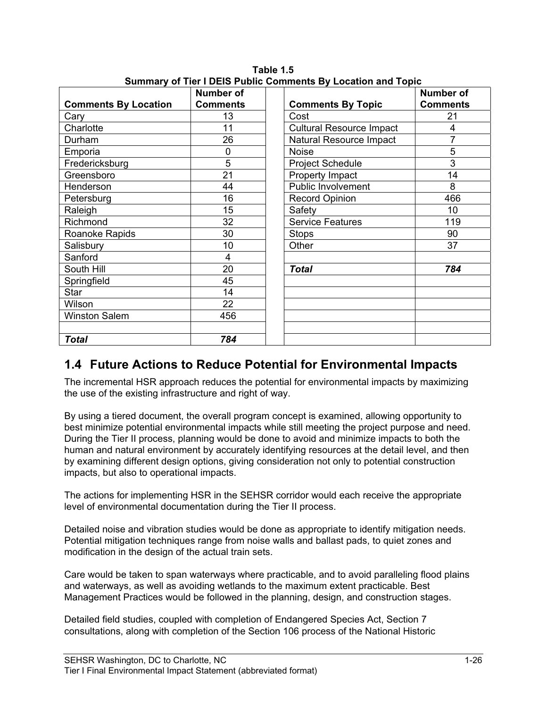|                             | Number of       |                                 | <b>Number of</b> |
|-----------------------------|-----------------|---------------------------------|------------------|
| <b>Comments By Location</b> | <b>Comments</b> | <b>Comments By Topic</b>        | <b>Comments</b>  |
| Cary                        | 13              | Cost                            | 21               |
| Charlotte                   | 11              | <b>Cultural Resource Impact</b> | 4                |
| Durham                      | 26              | Natural Resource Impact         | $\overline{7}$   |
| Emporia                     | 0               | <b>Noise</b>                    | 5                |
| Fredericksburg              | 5               | <b>Project Schedule</b>         | 3                |
| Greensboro                  | 21              | Property Impact                 | 14               |
| Henderson                   | 44              | Public Involvement              | 8                |
| Petersburg                  | 16              | <b>Record Opinion</b>           | 466              |
| Raleigh                     | 15              | Safety                          | 10               |
| Richmond                    | 32              | <b>Service Features</b>         | 119              |
| Roanoke Rapids              | 30              | <b>Stops</b>                    | 90               |
| Salisbury                   | 10              | Other                           | 37               |
| Sanford                     | 4               |                                 |                  |
| South Hill                  | 20              | <b>Total</b>                    | 784              |
| Springfield                 | 45              |                                 |                  |
| <b>Star</b>                 | 14              |                                 |                  |
| Wilson                      | 22              |                                 |                  |
| <b>Winston Salem</b>        | 456             |                                 |                  |
|                             |                 |                                 |                  |
| <b>Total</b>                | 784             |                                 |                  |

**Table 1.5 Summary of Tier I DEIS Public Comments By Location and Topic**

## **1.4 Future Actions to Reduce Potential for Environmental Impacts**

The incremental HSR approach reduces the potential for environmental impacts by maximizing the use of the existing infrastructure and right of way.

By using a tiered document, the overall program concept is examined, allowing opportunity to best minimize potential environmental impacts while still meeting the project purpose and need. During the Tier II process, planning would be done to avoid and minimize impacts to both the human and natural environment by accurately identifying resources at the detail level, and then by examining different design options, giving consideration not only to potential construction impacts, but also to operational impacts.

The actions for implementing HSR in the SEHSR corridor would each receive the appropriate level of environmental documentation during the Tier II process.

Detailed noise and vibration studies would be done as appropriate to identify mitigation needs. Potential mitigation techniques range from noise walls and ballast pads, to quiet zones and modification in the design of the actual train sets.

Care would be taken to span waterways where practicable, and to avoid paralleling flood plains and waterways, as well as avoiding wetlands to the maximum extent practicable. Best Management Practices would be followed in the planning, design, and construction stages.

Detailed field studies, coupled with completion of Endangered Species Act, Section 7 consultations, along with completion of the Section 106 process of the National Historic